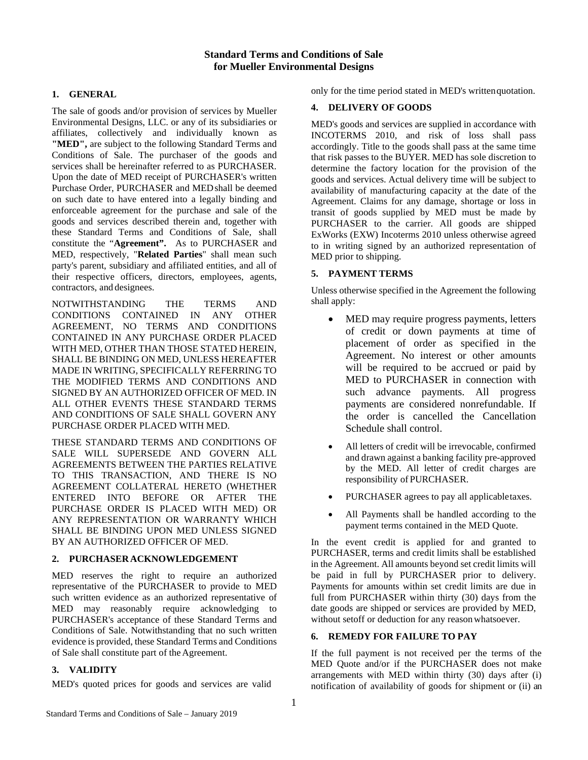## **1. GENERAL**

The sale of goods and/or provision of services by Mueller Environmental Designs, LLC. or any of its subsidiaries or affiliates, collectively and individually known as **"MED",** are subject to the following Standard Terms and Conditions of Sale. The purchaser of the goods and services shall be hereinafter referred to as PURCHASER. Upon the date of MED receipt of PURCHASER's written Purchase Order, PURCHASER and MEDshall be deemed on such date to have entered into a legally binding and enforceable agreement for the purchase and sale of the goods and services described therein and, together with these Standard Terms and Conditions of Sale, shall constitute the "**Agreement".** As to PURCHASER and MED, respectively, "**Related Parties**" shall mean such party's parent, subsidiary and affiliated entities, and all of their respective officers, directors, employees, agents, contractors, and designees.

NOTWITHSTANDING THE TERMS AND CONDITIONS CONTAINED IN ANY OTHER AGREEMENT, NO TERMS AND CONDITIONS CONTAINED IN ANY PURCHASE ORDER PLACED WITH MED, OTHER THAN THOSE STATED HEREIN, SHALL BE BINDING ON MED, UNLESS HEREAFTER MADE IN WRITING, SPECIFICALLY REFERRING TO THE MODIFIED TERMS AND CONDITIONS AND SIGNED BY AN AUTHORIZED OFFICER OF MED. IN ALL OTHER EVENTS THESE STANDARD TERMS AND CONDITIONS OF SALE SHALL GOVERN ANY PURCHASE ORDER PLACED WITH MED.

THESE STANDARD TERMS AND CONDITIONS OF SALE WILL SUPERSEDE AND GOVERN ALL AGREEMENTS BETWEEN THE PARTIES RELATIVE TO THIS TRANSACTION, AND THERE IS NO AGREEMENT COLLATERAL HERETO (WHETHER ENTERED INTO BEFORE OR AFTER THE PURCHASE ORDER IS PLACED WITH MED) OR ANY REPRESENTATION OR WARRANTY WHICH SHALL BE BINDING UPON MED UNLESS SIGNED BY AN AUTHORIZED OFFICER OF MED.

### **2. PURCHASER ACKNOWLEDGEMENT**

MED reserves the right to require an authorized representative of the PURCHASER to provide to MED such written evidence as an authorized representative of MED may reasonably require acknowledging to PURCHASER's acceptance of these Standard Terms and Conditions of Sale. Notwithstanding that no such written evidence is provided, these Standard Terms and Conditions of Sale shall constitute part of theAgreement.

## **3. VALIDITY**

MED's quoted prices for goods and services are valid

only for the time period stated in MED's writtenquotation.

# **4. DELIVERY OF GOODS**

MED's goods and services are supplied in accordance with INCOTERMS 2010, and risk of loss shall pass accordingly. Title to the goods shall pass at the same time that risk passes to the BUYER. MED has sole discretion to determine the factory location for the provision of the goods and services. Actual delivery time will be subject to availability of manufacturing capacity at the date of the Agreement. Claims for any damage, shortage or loss in transit of goods supplied by MED must be made by PURCHASER to the carrier. All goods are shipped ExWorks (EXW) Incoterms 2010 unless otherwise agreed to in writing signed by an authorized representation of MED prior to shipping.

### **5. PAYMENT TERMS**

Unless otherwise specified in the Agreement the following shall apply:

- MED may require progress payments, letters of credit or down payments at time of placement of order as specified in the Agreement. No interest or other amounts will be required to be accrued or paid by MED to PURCHASER in connection with such advance payments. All progress payments are considered nonrefundable. If the order is cancelled the Cancellation Schedule shall control.
- All letters of credit will be irrevocable, confirmed and drawn against a banking facility pre-approved by the MED. All letter of credit charges are responsibility of PURCHASER.
- PURCHASER agrees to pay all applicabletaxes.
- All Payments shall be handled according to the payment terms contained in the MED Quote.

In the event credit is applied for and granted to PURCHASER, terms and credit limits shall be established in the Agreement. All amounts beyond set credit limits will be paid in full by PURCHASER prior to delivery. Payments for amounts within set credit limits are due in full from PURCHASER within thirty (30) days from the date goods are shipped or services are provided by MED, without setoff or deduction for any reasonwhatsoever.

## **6. REMEDY FOR FAILURE TO PAY**

If the full payment is not received per the terms of the MED Quote and/or if the PURCHASER does not make arrangements with MED within thirty (30) days after (i) notification of availability of goods for shipment or (ii) an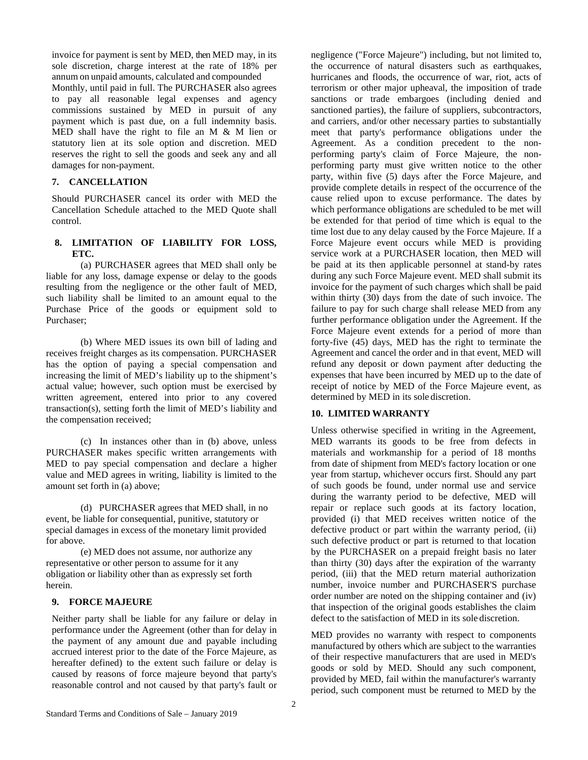invoice for payment is sent by MED, then MED may, in its sole discretion, charge interest at the rate of 18% per annum on unpaid amounts, calculated and compounded

Monthly, until paid in full. The PURCHASER also agrees to pay all reasonable legal expenses and agency commissions sustained by MED in pursuit of any payment which is past due, on a full indemnity basis. MED shall have the right to file an M & M lien or statutory lien at its sole option and discretion. MED reserves the right to sell the goods and seek any and all damages for non-payment.

### **7. CANCELLATION**

Should PURCHASER cancel its order with MED the Cancellation Schedule attached to the MED Quote shall control.

### **8. LIMITATION OF LIABILITY FOR LOSS, ETC.**

(a) PURCHASER agrees that MED shall only be liable for any loss, damage expense or delay to the goods resulting from the negligence or the other fault of MED, such liability shall be limited to an amount equal to the Purchase Price of the goods or equipment sold to Purchaser;

(b) Where MED issues its own bill of lading and receives freight charges as its compensation. PURCHASER has the option of paying a special compensation and increasing the limit of MED's liability up to the shipment's actual value; however, such option must be exercised by written agreement, entered into prior to any covered transaction(s), setting forth the limit of MED's liability and the compensation received;

(c) In instances other than in (b) above, unless PURCHASER makes specific written arrangements with MED to pay special compensation and declare a higher value and MED agrees in writing, liability is limited to the amount set forth in (a) above;

(d) PURCHASER agrees that MED shall, in no event, be liable for consequential, punitive, statutory or special damages in excess of the monetary limit provided for above.

(e) MED does not assume, nor authorize any representative or other person to assume for it any obligation or liability other than as expressly set forth herein.

### **9. FORCE MAJEURE**

Neither party shall be liable for any failure or delay in performance under the Agreement (other than for delay in the payment of any amount due and payable including accrued interest prior to the date of the Force Majeure, as hereafter defined) to the extent such failure or delay is caused by reasons of force majeure beyond that party's reasonable control and not caused by that party's fault or

negligence ("Force Majeure") including, but not limited to, the occurrence of natural disasters such as earthquakes, hurricanes and floods, the occurrence of war, riot, acts of terrorism or other major upheaval, the imposition of trade sanctions or trade embargoes (including denied and sanctioned parties), the failure of suppliers, subcontractors, and carriers, and/or other necessary parties to substantially meet that party's performance obligations under the Agreement. As a condition precedent to the nonperforming party's claim of Force Majeure, the nonperforming party must give written notice to the other party, within five (5) days after the Force Majeure, and provide complete details in respect of the occurrence of the cause relied upon to excuse performance. The dates by which performance obligations are scheduled to be met will be extended for that period of time which is equal to the time lost due to any delay caused by the Force Majeure. If a Force Majeure event occurs while MED is providing service work at a PURCHASER location, then MED will be paid at its then applicable personnel at stand-by rates during any such Force Majeure event. MED shall submit its invoice for the payment of such charges which shall be paid within thirty (30) days from the date of such invoice. The failure to pay for such charge shall release MED from any further performance obligation under the Agreement. If the Force Majeure event extends for a period of more than forty-five (45) days, MED has the right to terminate the Agreement and cancel the order and in that event, MED will refund any deposit or down payment after deducting the expenses that have been incurred by MED up to the date of receipt of notice by MED of the Force Majeure event, as determined by MED in its sole discretion.

### **10. LIMITED WARRANTY**

Unless otherwise specified in writing in the Agreement, MED warrants its goods to be free from defects in materials and workmanship for a period of 18 months from date of shipment from MED's factory location or one year from startup, whichever occurs first. Should any part of such goods be found, under normal use and service during the warranty period to be defective, MED will repair or replace such goods at its factory location, provided (i) that MED receives written notice of the defective product or part within the warranty period, (ii) such defective product or part is returned to that location by the PURCHASER on a prepaid freight basis no later than thirty (30) days after the expiration of the warranty period, (iii) that the MED return material authorization number, invoice number and PURCHASER'S purchase order number are noted on the shipping container and (iv) that inspection of the original goods establishes the claim defect to the satisfaction of MED in its sole discretion.

MED provides no warranty with respect to components manufactured by others which are subject to the warranties of their respective manufacturers that are used in MED's goods or sold by MED. Should any such component, provided by MED, fail within the manufacturer's warranty period, such component must be returned to MED by the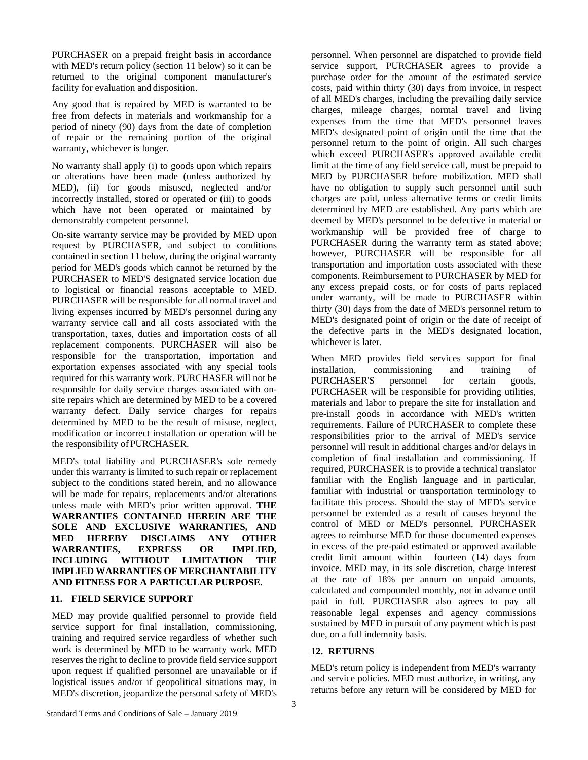PURCHASER on a prepaid freight basis in accordance with MED's return policy (section 11 below) so it can be returned to the original component manufacturer's facility for evaluation and disposition.

Any good that is repaired by MED is warranted to be free from defects in materials and workmanship for a period of ninety (90) days from the date of completion of repair or the remaining portion of the original warranty, whichever is longer.

No warranty shall apply (i) to goods upon which repairs or alterations have been made (unless authorized by MED), (ii) for goods misused, neglected and/or incorrectly installed, stored or operated or (iii) to goods which have not been operated or maintained by demonstrably competent personnel.

On-site warranty service may be provided by MED upon request by PURCHASER, and subject to conditions contained in section 11 below, during the original warranty period for MED's goods which cannot be returned by the PURCHASER to MED'S designated service location due to logistical or financial reasons acceptable to MED. PURCHASER will be responsible for all normal travel and living expenses incurred by MED's personnel during any warranty service call and all costs associated with the transportation, taxes, duties and importation costs of all replacement components. PURCHASER will also be responsible for the transportation, importation and exportation expenses associated with any special tools required for this warranty work. PURCHASER will not be responsible for daily service charges associated with onsite repairs which are determined by MED to be a covered warranty defect. Daily service charges for repairs determined by MED to be the result of misuse, neglect, modification or incorrect installation or operation will be the responsibility of PURCHASER.

MED's total liability and PURCHASER's sole remedy under this warranty is limited to such repair or replacement subject to the conditions stated herein, and no allowance will be made for repairs, replacements and/or alterations unless made with MED's prior written approval. **THE WARRANTIES CONTAINED HEREIN ARE THE SOLE AND EXCLUSIVE WARRANTIES, AND MED HEREBY DISCLAIMS ANY OTHER WARRANTIES, EXPRESS OR IMPLIED, INCLUDING WITHOUT LIMITATION THE IMPLIED WARRANTIES OF MERCHANTABILITY AND FITNESS FOR A PARTICULAR PURPOSE.**

### **11. FIELD SERVICE SUPPORT**

MED may provide qualified personnel to provide field service support for final installation, commissioning, training and required service regardless of whether such work is determined by MED to be warranty work. MED reserves the right to decline to provide field service support upon request if qualified personnel are unavailable or if logistical issues and/or if geopolitical situations may, in MED's discretion, jeopardize the personal safety of MED's

personnel. When personnel are dispatched to provide field service support, PURCHASER agrees to provide a purchase order for the amount of the estimated service costs, paid within thirty (30) days from invoice, in respect of all MED's charges, including the prevailing daily service charges, mileage charges, normal travel and living expenses from the time that MED's personnel leaves MED's designated point of origin until the time that the personnel return to the point of origin. All such charges which exceed PURCHASER's approved available credit limit at the time of any field service call, must be prepaid to MED by PURCHASER before mobilization. MED shall have no obligation to supply such personnel until such charges are paid, unless alternative terms or credit limits determined by MED are established. Any parts which are deemed by MED's personnel to be defective in material or workmanship will be provided free of charge to PURCHASER during the warranty term as stated above; however, PURCHASER will be responsible for all transportation and importation costs associated with these components. Reimbursement to PURCHASER by MED for any excess prepaid costs, or for costs of parts replaced under warranty, will be made to PURCHASER within thirty (30) days from the date of MED's personnel return to MED's designated point of origin or the date of receipt of the defective parts in the MED's designated location, whichever is later.

When MED provides field services support for final installation, commissioning and training of PURCHASER'S personnel for certain goods, PURCHASER will be responsible for providing utilities, materials and labor to prepare the site for installation and pre-install goods in accordance with MED's written requirements. Failure of PURCHASER to complete these responsibilities prior to the arrival of MED's service personnel will result in additional charges and/or delays in completion of final installation and commissioning. If required, PURCHASER is to provide a technical translator familiar with the English language and in particular, familiar with industrial or transportation terminology to facilitate this process. Should the stay of MED's service personnel be extended as a result of causes beyond the control of MED or MED's personnel, PURCHASER agrees to reimburse MED for those documented expenses in excess of the pre-paid estimated or approved available credit limit amount within fourteen (14) days from invoice. MED may, in its sole discretion, charge interest at the rate of 18% per annum on unpaid amounts, calculated and compounded monthly, not in advance until paid in full. PURCHASER also agrees to pay all reasonable legal expenses and agency commissions sustained by MED in pursuit of any payment which is past due, on a full indemnity basis.

#### **12. RETURNS**

MED's return policy is independent from MED's warranty and service policies. MED must authorize, in writing, any returns before any return will be considered by MED for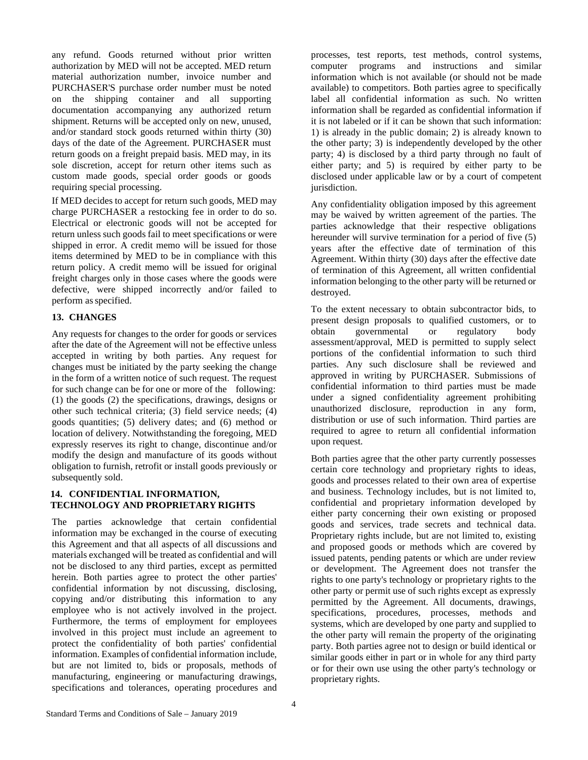any refund. Goods returned without prior written authorization by MED will not be accepted. MED return material authorization number, invoice number and PURCHASER'S purchase order number must be noted on the shipping container and all supporting documentation accompanying any authorized return shipment. Returns will be accepted only on new, unused, and/or standard stock goods returned within thirty (30) days of the date of the Agreement. PURCHASER must return goods on a freight prepaid basis. MED may, in its sole discretion, accept for return other items such as custom made goods, special order goods or goods requiring special processing.

If MED decides to accept for return such goods, MED may charge PURCHASER a restocking fee in order to do so. Electrical or electronic goods will not be accepted for return unless such goods fail to meet specifications or were shipped in error. A credit memo will be issued for those items determined by MED to be in compliance with this return policy. A credit memo will be issued for original freight charges only in those cases where the goods were defective, were shipped incorrectly and/or failed to perform as specified.

## **13. CHANGES**

Any requests for changes to the order for goods or services after the date of the Agreement will not be effective unless accepted in writing by both parties. Any request for changes must be initiated by the party seeking the change in the form of a written notice of such request. The request for such change can be for one or more of the following: (1) the goods (2) the specifications, drawings, designs or other such technical criteria; (3) field service needs; (4) goods quantities; (5) delivery dates; and (6) method or location of delivery. Notwithstanding the foregoing, MED expressly reserves its right to change, discontinue and/or modify the design and manufacture of its goods without obligation to furnish, retrofit or install goods previously or subsequently sold.

#### **14. CONFIDENTIAL INFORMATION, TECHNOLOGY AND PROPRIETARY RIGHTS**

The parties acknowledge that certain confidential information may be exchanged in the course of executing this Agreement and that all aspects of all discussions and materials exchanged will be treated as confidential and will not be disclosed to any third parties, except as permitted herein. Both parties agree to protect the other parties' confidential information by not discussing, disclosing, copying and/or distributing this information to any employee who is not actively involved in the project. Furthermore, the terms of employment for employees involved in this project must include an agreement to protect the confidentiality of both parties' confidential information. Examples of confidential information include, but are not limited to, bids or proposals, methods of manufacturing, engineering or manufacturing drawings, specifications and tolerances, operating procedures and

processes, test reports, test methods, control systems, computer programs and instructions and similar information which is not available (or should not be made available) to competitors. Both parties agree to specifically label all confidential information as such. No written information shall be regarded as confidential information if it is not labeled or if it can be shown that such information: 1) is already in the public domain; 2) is already known to the other party; 3) is independently developed by the other party; 4) is disclosed by a third party through no fault of either party; and 5) is required by either party to be disclosed under applicable law or by a court of competent jurisdiction.

Any confidentiality obligation imposed by this agreement may be waived by written agreement of the parties. The parties acknowledge that their respective obligations hereunder will survive termination for a period of five (5) years after the effective date of termination of this Agreement. Within thirty (30) days after the effective date of termination of this Agreement, all written confidential information belonging to the other party will be returned or destroyed.

To the extent necessary to obtain subcontractor bids, to present design proposals to qualified customers, or to obtain governmental or regulatory body assessment/approval, MED is permitted to supply select portions of the confidential information to such third parties. Any such disclosure shall be reviewed and approved in writing by PURCHASER. Submissions of confidential information to third parties must be made under a signed confidentiality agreement prohibiting unauthorized disclosure, reproduction in any form, distribution or use of such information. Third parties are required to agree to return all confidential information upon request.

Both parties agree that the other party currently possesses certain core technology and proprietary rights to ideas, goods and processes related to their own area of expertise and business. Technology includes, but is not limited to, confidential and proprietary information developed by either party concerning their own existing or proposed goods and services, trade secrets and technical data. Proprietary rights include, but are not limited to, existing and proposed goods or methods which are covered by issued patents, pending patents or which are under review or development. The Agreement does not transfer the rights to one party's technology or proprietary rights to the other party or permit use of such rights except as expressly permitted by the Agreement. All documents, drawings, specifications, procedures, processes, methods and systems, which are developed by one party and supplied to the other party will remain the property of the originating party. Both parties agree not to design or build identical or similar goods either in part or in whole for any third party or for their own use using the other party's technology or proprietary rights.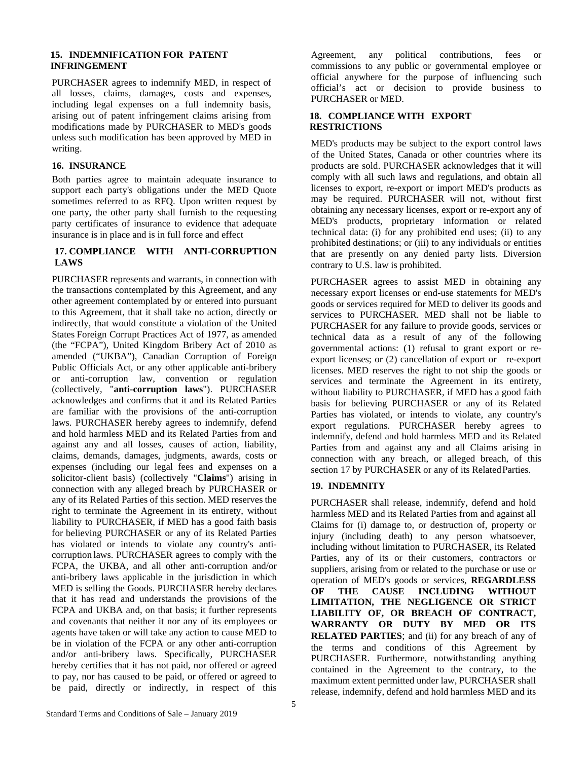### **15. INDEMNIFICATION FOR PATENT INFRINGEMENT**

PURCHASER agrees to indemnify MED, in respect of all losses, claims, damages, costs and expenses, including legal expenses on a full indemnity basis, arising out of patent infringement claims arising from modifications made by PURCHASER to MED's goods unless such modification has been approved by MED in writing.

### **16. INSURANCE**

Both parties agree to maintain adequate insurance to support each party's obligations under the MED Quote sometimes referred to as RFQ. Upon written request by one party, the other party shall furnish to the requesting party certificates of insurance to evidence that adequate insurance is in place and is in full force and effect

### **17. COMPLIANCE WITH ANTI-CORRUPTION LAWS**

PURCHASER represents and warrants, in connection with the transactions contemplated by this Agreement, and any other agreement contemplated by or entered into pursuant to this Agreement, that it shall take no action, directly or indirectly, that would constitute a violation of the United States Foreign Corrupt Practices Act of 1977, as amended (the "FCPA"), United Kingdom Bribery Act of 2010 as amended ("UKBA"), Canadian Corruption of Foreign Public Officials Act, or any other applicable anti-bribery or anti-corruption law, convention or regulation (collectively, "**anti-corruption laws**"). PURCHASER acknowledges and confirms that it and its Related Parties are familiar with the provisions of the anti-corruption laws. PURCHASER hereby agrees to indemnify, defend and hold harmless MED and its Related Parties from and against any and all losses, causes of action, liability, claims, demands, damages, judgments, awards, costs or expenses (including our legal fees and expenses on a solicitor-client basis) (collectively "**Claims**") arising in connection with any alleged breach by PURCHASER or any of its Related Parties of this section. MED reserves the right to terminate the Agreement in its entirety, without liability to PURCHASER, if MED has a good faith basis for believing PURCHASER or any of its Related Parties has violated or intends to violate any country's anticorruption laws. PURCHASER agrees to comply with the FCPA, the UKBA, and all other anti-corruption and/or anti-bribery laws applicable in the jurisdiction in which MED is selling the Goods. PURCHASER hereby declares that it has read and understands the provisions of the FCPA and UKBA and, on that basis; it further represents and covenants that neither it nor any of its employees or agents have taken or will take any action to cause MED to be in violation of the FCPA or any other anti-corruption and/or anti-bribery laws. Specifically, PURCHASER hereby certifies that it has not paid, nor offered or agreed to pay, nor has caused to be paid, or offered or agreed to be paid, directly or indirectly, in respect of this

Agreement, any political contributions, fees or commissions to any public or governmental employee or official anywhere for the purpose of influencing such official's act or decision to provide business to PURCHASER or MED.

### **18. COMPLIANCE WITH EXPORT RESTRICTIONS**

MED's products may be subject to the export control laws of the United States, Canada or other countries where its products are sold. PURCHASER acknowledges that it will comply with all such laws and regulations, and obtain all licenses to export, re-export or import MED's products as may be required. PURCHASER will not, without first obtaining any necessary licenses, export or re-export any of MED's products, proprietary information or related technical data: (i) for any prohibited end uses; (ii) to any prohibited destinations; or (iii) to any individuals or entities that are presently on any denied party lists. Diversion contrary to U.S. law is prohibited.

PURCHASER agrees to assist MED in obtaining any necessary export licenses or end-use statements for MED's goods or services required for MED to deliver its goods and services to PURCHASER. MED shall not be liable to PURCHASER for any failure to provide goods, services or technical data as a result of any of the following governmental actions: (1) refusal to grant export or reexport licenses; or (2) cancellation of export or re-export licenses. MED reserves the right to not ship the goods or services and terminate the Agreement in its entirety, without liability to PURCHASER, if MED has a good faith basis for believing PURCHASER or any of its Related Parties has violated, or intends to violate, any country's export regulations. PURCHASER hereby agrees to indemnify, defend and hold harmless MED and its Related Parties from and against any and all Claims arising in connection with any breach, or alleged breach, of this section 17 by PURCHASER or any of its Related Parties.

### **19. INDEMNITY**

PURCHASER shall release, indemnify, defend and hold harmless MED and its Related Parties from and against all Claims for (i) damage to, or destruction of, property or injury (including death) to any person whatsoever, including without limitation to PURCHASER, its Related Parties, any of its or their customers, contractors or suppliers, arising from or related to the purchase or use or operation of MED's goods or services, **REGARDLESS OF THE CAUSE INCLUDING WITHOUT LIMITATION, THE NEGLIGENCE OR STRICT LIABILITY OF, OR BREACH OF CONTRACT, WARRANTY OR DUTY BY MED OR ITS RELATED PARTIES**; and (ii) for any breach of any of the terms and conditions of this Agreement by PURCHASER. Furthermore, notwithstanding anything contained in the Agreement to the contrary, to the maximum extent permitted under law, PURCHASER shall release, indemnify, defend and hold harmless MED and its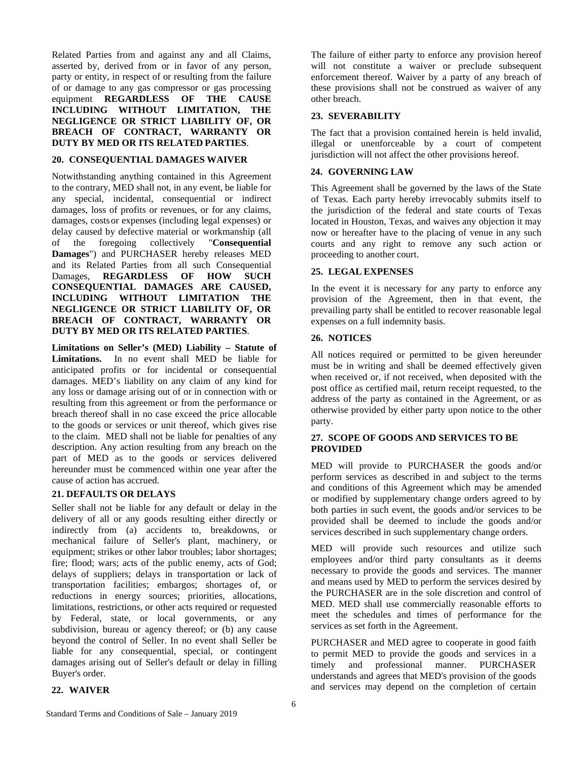Related Parties from and against any and all Claims, asserted by, derived from or in favor of any person, party or entity, in respect of or resulting from the failure of or damage to any gas compressor or gas processing equipment **REGARDLESS OF THE CAUSE INCLUDING WITHOUT LIMITATION, THE NEGLIGENCE OR STRICT LIABILITY OF, OR BREACH OF CONTRACT, WARRANTY OR DUTY BY MED OR ITS RELATED PARTIES**.

### **20. CONSEQUENTIAL DAMAGES WAIVER**

Notwithstanding anything contained in this Agreement to the contrary, MED shall not, in any event, be liable for any special, incidental, consequential or indirect damages, loss of profits or revenues, or for any claims, damages, costsor expenses (including legal expenses) or delay caused by defective material or workmanship (all<br>of the foregoing collectively "**Consequential** of the foregoing collectively **Damages**") and PURCHASER hereby releases MED and its Related Parties from all such Consequential Damages, **REGARDLESS OF HOW SUCH CONSEQUENTIAL DAMAGES ARE CAUSED, INCLUDING WITHOUT LIMITATION THE NEGLIGENCE OR STRICT LIABILITY OF, OR BREACH OF CONTRACT, WARRANTY OR DUTY BY MED OR ITS RELATED PARTIES**.

**Limitations on Seller's (MED) Liability – Statute of Limitations.** In no event shall MED be liable for anticipated profits or for incidental or consequential damages. MED's liability on any claim of any kind for any loss or damage arising out of or in connection with or resulting from this agreement or from the performance or breach thereof shall in no case exceed the price allocable to the goods or services or unit thereof, which gives rise to the claim. MED shall not be liable for penalties of any description. Any action resulting from any breach on the part of MED as to the goods or services delivered hereunder must be commenced within one year after the cause of action has accrued.

#### **21. DEFAULTS OR DELAYS**

Seller shall not be liable for any default or delay in the delivery of all or any goods resulting either directly or indirectly from (a) accidents to, breakdowns, or mechanical failure of Seller's plant, machinery, or equipment; strikes or other labor troubles; labor shortages; fire; flood; wars; acts of the public enemy, acts of God; delays of suppliers; delays in transportation or lack of transportation facilities; embargos; shortages of, or reductions in energy sources; priorities, allocations, limitations, restrictions, or other acts required or requested by Federal, state, or local governments, or any subdivision, bureau or agency thereof; or (b) any cause beyond the control of Seller. In no event shall Seller be liable for any consequential, special, or contingent damages arising out of Seller's default or delay in filling Buyer's order.

#### **22. WAIVER**

The failure of either party to enforce any provision hereof will not constitute a waiver or preclude subsequent enforcement thereof. Waiver by a party of any breach of these provisions shall not be construed as waiver of any other breach.

### **23. SEVERABILITY**

The fact that a provision contained herein is held invalid, illegal or unenforceable by a court of competent jurisdiction will not affect the other provisions hereof.

#### **24. GOVERNING LAW**

This Agreement shall be governed by the laws of the State of Texas. Each party hereby irrevocably submits itself to the jurisdiction of the federal and state courts of Texas located in Houston, Texas, and waives any objection it may now or hereafter have to the placing of venue in any such courts and any right to remove any such action or proceeding to another court.

#### **25. LEGAL EXPENSES**

In the event it is necessary for any party to enforce any provision of the Agreement, then in that event, the prevailing party shall be entitled to recover reasonable legal expenses on a full indemnity basis.

#### **26. NOTICES**

All notices required or permitted to be given hereunder must be in writing and shall be deemed effectively given when received or, if not received, when deposited with the post office as certified mail, return receipt requested, to the address of the party as contained in the Agreement, or as otherwise provided by either party upon notice to the other party.

## **27. SCOPE OF GOODS AND SERVICES TO BE PROVIDED**

MED will provide to PURCHASER the goods and/or perform services as described in and subject to the terms and conditions of this Agreement which may be amended or modified by supplementary change orders agreed to by both parties in such event, the goods and/or services to be provided shall be deemed to include the goods and/or services described in such supplementary change orders.

MED will provide such resources and utilize such employees and/or third party consultants as it deems necessary to provide the goods and services. The manner and means used by MED to perform the services desired by the PURCHASER are in the sole discretion and control of MED. MED shall use commercially reasonable efforts to meet the schedules and times of performance for the services as set forth in the Agreement.

PURCHASER and MED agree to cooperate in good faith to permit MED to provide the goods and services in a timely and professional manner. PURCHASER understands and agrees that MED's provision of the goods and services may depend on the completion of certain